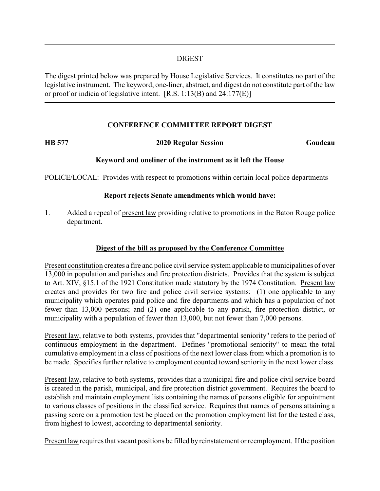#### DIGEST

The digest printed below was prepared by House Legislative Services. It constitutes no part of the legislative instrument. The keyword, one-liner, abstract, and digest do not constitute part of the law or proof or indicia of legislative intent. [R.S. 1:13(B) and 24:177(E)]

## **CONFERENCE COMMITTEE REPORT DIGEST**

#### **HB 577 2020 Regular Session Goudeau**

## **Keyword and oneliner of the instrument as it left the House**

POLICE/LOCAL: Provides with respect to promotions within certain local police departments

## **Report rejects Senate amendments which would have:**

1. Added a repeal of present law providing relative to promotions in the Baton Rouge police department.

# **Digest of the bill as proposed by the Conference Committee**

Present constitution creates a fire and police civil service system applicable to municipalities of over 13,000 in population and parishes and fire protection districts. Provides that the system is subject to Art. XIV, §15.1 of the 1921 Constitution made statutory by the 1974 Constitution. Present law creates and provides for two fire and police civil service systems: (1) one applicable to any municipality which operates paid police and fire departments and which has a population of not fewer than 13,000 persons; and (2) one applicable to any parish, fire protection district, or municipality with a population of fewer than 13,000, but not fewer than 7,000 persons.

Present law, relative to both systems, provides that "departmental seniority" refers to the period of continuous employment in the department. Defines "promotional seniority" to mean the total cumulative employment in a class of positions of the next lower class from which a promotion is to be made. Specifies further relative to employment counted toward seniority in the next lower class.

Present law, relative to both systems, provides that a municipal fire and police civil service board is created in the parish, municipal, and fire protection district government. Requires the board to establish and maintain employment lists containing the names of persons eligible for appointment to various classes of positions in the classified service. Requires that names of persons attaining a passing score on a promotion test be placed on the promotion employment list for the tested class, from highest to lowest, according to departmental seniority.

Present law requires that vacant positions be filled by reinstatement or reemployment. If the position